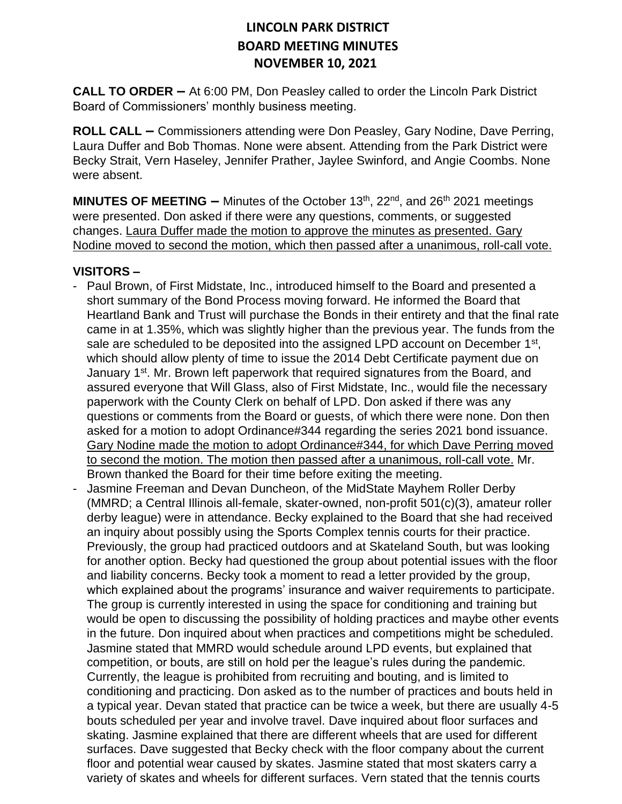**CALL TO ORDER –** At 6:00 PM, Don Peasley called to order the Lincoln Park District Board of Commissioners' monthly business meeting.

**ROLL CALL –** Commissioners attending were Don Peasley, Gary Nodine, Dave Perring, Laura Duffer and Bob Thomas. None were absent. Attending from the Park District were Becky Strait, Vern Haseley, Jennifer Prather, Jaylee Swinford, and Angie Coombs. None were absent.

**MINUTES OF MEETING –** Minutes of the October 13<sup>th</sup>, 22<sup>nd</sup>, and 26<sup>th</sup> 2021 meetings were presented. Don asked if there were any questions, comments, or suggested changes. Laura Duffer made the motion to approve the minutes as presented. Gary Nodine moved to second the motion, which then passed after a unanimous, roll-call vote.

#### **VISITORS –**

- Paul Brown, of First Midstate, Inc., introduced himself to the Board and presented a short summary of the Bond Process moving forward. He informed the Board that Heartland Bank and Trust will purchase the Bonds in their entirety and that the final rate came in at 1.35%, which was slightly higher than the previous year. The funds from the sale are scheduled to be deposited into the assigned LPD account on December  $1<sup>st</sup>$ , which should allow plenty of time to issue the 2014 Debt Certificate payment due on January 1<sup>st</sup>. Mr. Brown left paperwork that required signatures from the Board, and assured everyone that Will Glass, also of First Midstate, Inc., would file the necessary paperwork with the County Clerk on behalf of LPD. Don asked if there was any questions or comments from the Board or guests, of which there were none. Don then asked for a motion to adopt Ordinance#344 regarding the series 2021 bond issuance. Gary Nodine made the motion to adopt Ordinance#344, for which Dave Perring moved to second the motion. The motion then passed after a unanimous, roll-call vote. Mr. Brown thanked the Board for their time before exiting the meeting.
- Jasmine Freeman and Devan Duncheon, of the MidState Mayhem Roller Derby (MMRD; a Central Illinois all-female, skater-owned, non-profit 501(c)(3), amateur roller derby league) were in attendance. Becky explained to the Board that she had received an inquiry about possibly using the Sports Complex tennis courts for their practice. Previously, the group had practiced outdoors and at Skateland South, but was looking for another option. Becky had questioned the group about potential issues with the floor and liability concerns. Becky took a moment to read a letter provided by the group, which explained about the programs' insurance and waiver requirements to participate. The group is currently interested in using the space for conditioning and training but would be open to discussing the possibility of holding practices and maybe other events in the future. Don inquired about when practices and competitions might be scheduled. Jasmine stated that MMRD would schedule around LPD events, but explained that competition, or bouts, are still on hold per the league's rules during the pandemic. Currently, the league is prohibited from recruiting and bouting, and is limited to conditioning and practicing. Don asked as to the number of practices and bouts held in a typical year. Devan stated that practice can be twice a week, but there are usually 4-5 bouts scheduled per year and involve travel. Dave inquired about floor surfaces and skating. Jasmine explained that there are different wheels that are used for different surfaces. Dave suggested that Becky check with the floor company about the current floor and potential wear caused by skates. Jasmine stated that most skaters carry a variety of skates and wheels for different surfaces. Vern stated that the tennis courts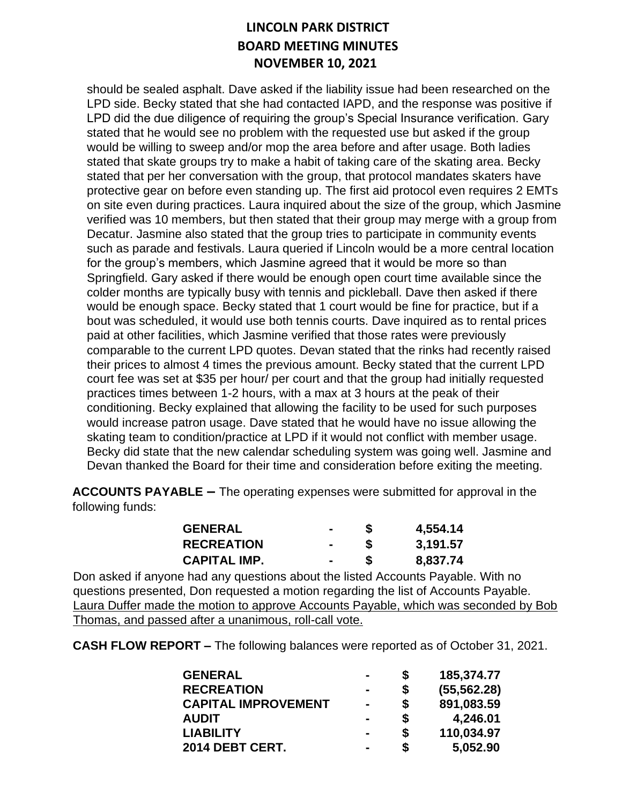should be sealed asphalt. Dave asked if the liability issue had been researched on the LPD side. Becky stated that she had contacted IAPD, and the response was positive if LPD did the due diligence of requiring the group's Special Insurance verification. Gary stated that he would see no problem with the requested use but asked if the group would be willing to sweep and/or mop the area before and after usage. Both ladies stated that skate groups try to make a habit of taking care of the skating area. Becky stated that per her conversation with the group, that protocol mandates skaters have protective gear on before even standing up. The first aid protocol even requires 2 EMTs on site even during practices. Laura inquired about the size of the group, which Jasmine verified was 10 members, but then stated that their group may merge with a group from Decatur. Jasmine also stated that the group tries to participate in community events such as parade and festivals. Laura queried if Lincoln would be a more central location for the group's members, which Jasmine agreed that it would be more so than Springfield. Gary asked if there would be enough open court time available since the colder months are typically busy with tennis and pickleball. Dave then asked if there would be enough space. Becky stated that 1 court would be fine for practice, but if a bout was scheduled, it would use both tennis courts. Dave inquired as to rental prices paid at other facilities, which Jasmine verified that those rates were previously comparable to the current LPD quotes. Devan stated that the rinks had recently raised their prices to almost 4 times the previous amount. Becky stated that the current LPD court fee was set at \$35 per hour/ per court and that the group had initially requested practices times between 1-2 hours, with a max at 3 hours at the peak of their conditioning. Becky explained that allowing the facility to be used for such purposes would increase patron usage. Dave stated that he would have no issue allowing the skating team to condition/practice at LPD if it would not conflict with member usage. Becky did state that the new calendar scheduling system was going well. Jasmine and Devan thanked the Board for their time and consideration before exiting the meeting.

**ACCOUNTS PAYABLE –** The operating expenses were submitted for approval in the following funds:

| <b>GENERAL</b>      | $\blacksquare$ | 4,554.14 |
|---------------------|----------------|----------|
| <b>RECREATION</b>   |                | 3,191.57 |
| <b>CAPITAL IMP.</b> |                | 8,837.74 |

Don asked if anyone had any questions about the listed Accounts Payable. With no questions presented, Don requested a motion regarding the list of Accounts Payable. Laura Duffer made the motion to approve Accounts Payable, which was seconded by Bob Thomas, and passed after a unanimous, roll-call vote.

**CASH FLOW REPORT –** The following balances were reported as of October 31, 2021.

| <b>GENERAL</b>             | -              | \$<br>185,374.77   |
|----------------------------|----------------|--------------------|
| <b>RECREATION</b>          |                | \$<br>(55, 562.28) |
| <b>CAPITAL IMPROVEMENT</b> | $\blacksquare$ | \$<br>891,083.59   |
| <b>AUDIT</b>               | $\blacksquare$ | \$<br>4,246.01     |
| <b>LIABILITY</b>           | $\blacksquare$ | \$<br>110,034.97   |
| 2014 DEBT CERT.            | $\blacksquare$ | \$<br>5,052.90     |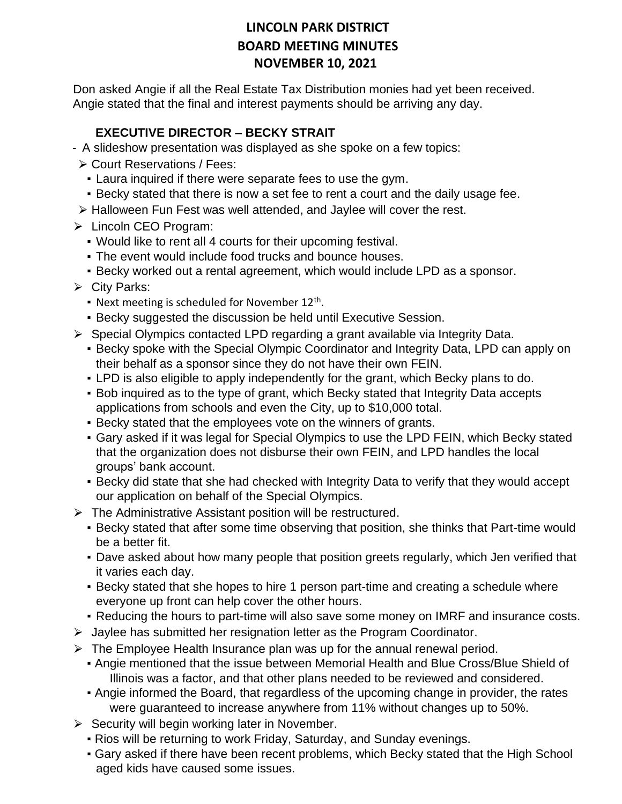Don asked Angie if all the Real Estate Tax Distribution monies had yet been received. Angie stated that the final and interest payments should be arriving any day.

### **EXECUTIVE DIRECTOR – BECKY STRAIT**

- A slideshow presentation was displayed as she spoke on a few topics:
- ⮚ Court Reservations / Fees:
	- Laura inquired if there were separate fees to use the gym.
	- **Becky stated that there is now a set fee to rent a court and the daily usage fee.**
- ▶ Halloween Fun Fest was well attended, and Jaylee will cover the rest.
- **► Lincoln CEO Program:** 
	- Would like to rent all 4 courts for their upcoming festival.
	- **The event would include food trucks and bounce houses.**
	- **Becky worked out a rental agreement, which would include LPD as a sponsor.**
- $\triangleright$  City Parks:
	- Next meeting is scheduled for November 12<sup>th</sup>.
	- Becky suggested the discussion be held until Executive Session.
- $\triangleright$  Special Olympics contacted LPD regarding a grant available via Integrity Data.
	- **Becky spoke with the Special Olympic Coordinator and Integrity Data, LPD can apply on** their behalf as a sponsor since they do not have their own FEIN.
	- LPD is also eligible to apply independently for the grant, which Becky plans to do.
	- Bob inquired as to the type of grant, which Becky stated that Integrity Data accepts applications from schools and even the City, up to \$10,000 total.
	- **Becky stated that the employees vote on the winners of grants.**
	- **Gary asked if it was legal for Special Olympics to use the LPD FEIN, which Becky stated** that the organization does not disburse their own FEIN, and LPD handles the local groups' bank account.
	- Becky did state that she had checked with Integrity Data to verify that they would accept our application on behalf of the Special Olympics.
- $\triangleright$  The Administrative Assistant position will be restructured.
	- Becky stated that after some time observing that position, she thinks that Part-time would be a better fit.
	- Dave asked about how many people that position greets regularly, which Jen verified that it varies each day.
	- Becky stated that she hopes to hire 1 person part-time and creating a schedule where everyone up front can help cover the other hours.
	- . Reducing the hours to part-time will also save some money on IMRF and insurance costs.
- $\triangleright$  Jaylee has submitted her resignation letter as the Program Coordinator.
- $\triangleright$  The Employee Health Insurance plan was up for the annual renewal period.
	- **Angie mentioned that the issue between Memorial Health and Blue Cross/Blue Shield of** Illinois was a factor, and that other plans needed to be reviewed and considered.
	- Angie informed the Board, that regardless of the upcoming change in provider, the rates were guaranteed to increase anywhere from 11% without changes up to 50%.
- $\triangleright$  Security will begin working later in November.
	- Rios will be returning to work Friday, Saturday, and Sunday evenings.
	- Gary asked if there have been recent problems, which Becky stated that the High School aged kids have caused some issues.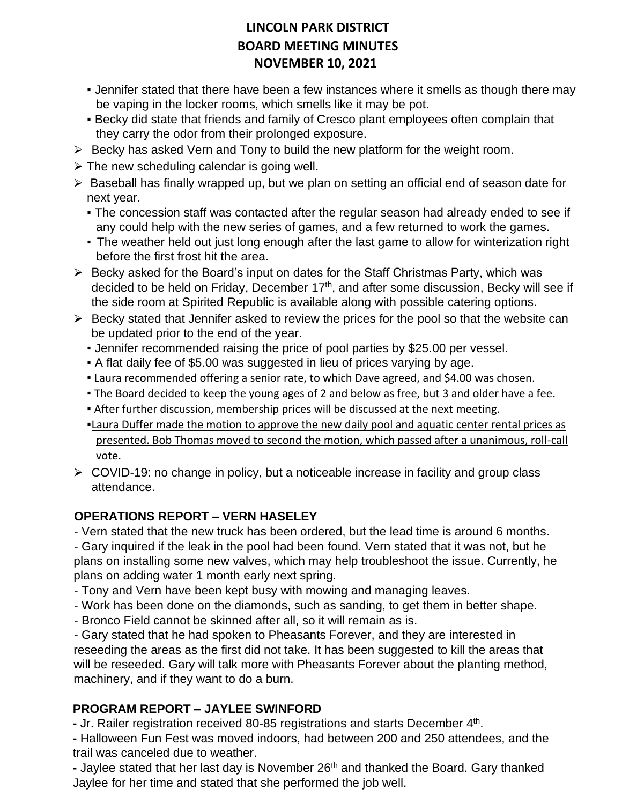- **.** Jennifer stated that there have been a few instances where it smells as though there may be vaping in the locker rooms, which smells like it may be pot.
- **Becky did state that friends and family of Cresco plant employees often complain that** they carry the odor from their prolonged exposure.
- $\triangleright$  Becky has asked Vern and Tony to build the new platform for the weight room.
- $\triangleright$  The new scheduling calendar is going well.
- $\triangleright$  Baseball has finally wrapped up, but we plan on setting an official end of season date for next year.
	- The concession staff was contacted after the regular season had already ended to see if any could help with the new series of games, and a few returned to work the games.
	- The weather held out just long enough after the last game to allow for winterization right before the first frost hit the area.
- $\triangleright$  Becky asked for the Board's input on dates for the Staff Christmas Party, which was decided to be held on Friday, December 17<sup>th</sup>, and after some discussion, Becky will see if the side room at Spirited Republic is available along with possible catering options.
- $\triangleright$  Becky stated that Jennifer asked to review the prices for the pool so that the website can be updated prior to the end of the year.
	- Jennifer recommended raising the price of pool parties by \$25.00 per vessel.
	- A flat daily fee of \$5.00 was suggested in lieu of prices varying by age.
	- **Example 20 Ferama Lang and Senior Fate, to which Dave agreed, and \$4.00 was chosen.**
	- . The Board decided to keep the young ages of 2 and below as free, but 3 and older have a fee.
	- **After further discussion, membership prices will be discussed at the next meeting.**
	- •Laura Duffer made the motion to approve the new daily pool and aquatic center rental prices as presented. Bob Thomas moved to second the motion, which passed after a unanimous, roll-call vote.
- $\triangleright$  COVID-19: no change in policy, but a noticeable increase in facility and group class attendance.

### **OPERATIONS REPORT – VERN HASELEY**

- Vern stated that the new truck has been ordered, but the lead time is around 6 months.

- Gary inquired if the leak in the pool had been found. Vern stated that it was not, but he plans on installing some new valves, which may help troubleshoot the issue. Currently, he plans on adding water 1 month early next spring.

- Tony and Vern have been kept busy with mowing and managing leaves.
- Work has been done on the diamonds, such as sanding, to get them in better shape.
- Bronco Field cannot be skinned after all, so it will remain as is.

- Gary stated that he had spoken to Pheasants Forever, and they are interested in reseeding the areas as the first did not take. It has been suggested to kill the areas that will be reseeded. Gary will talk more with Pheasants Forever about the planting method, machinery, and if they want to do a burn.

### **PROGRAM REPORT – JAYLEE SWINFORD**

- Jr. Railer registration received 80-85 registrations and starts December 4<sup>th</sup>.

**-** Halloween Fun Fest was moved indoors, had between 200 and 250 attendees, and the trail was canceled due to weather.

**-** Jaylee stated that her last day is November 26th and thanked the Board. Gary thanked Jaylee for her time and stated that she performed the job well.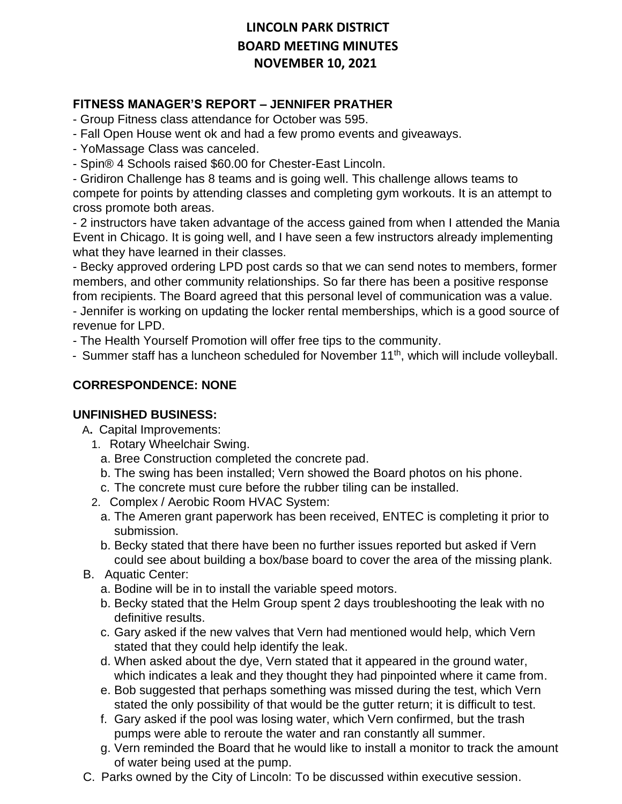### **FITNESS MANAGER'S REPORT – JENNIFER PRATHER**

- Group Fitness class attendance for October was 595.

- Fall Open House went ok and had a few promo events and giveaways.
- YoMassage Class was canceled.
- Spin® 4 Schools raised \$60.00 for Chester-East Lincoln.

- Gridiron Challenge has 8 teams and is going well. This challenge allows teams to compete for points by attending classes and completing gym workouts. It is an attempt to cross promote both areas.

- 2 instructors have taken advantage of the access gained from when I attended the Mania Event in Chicago. It is going well, and I have seen a few instructors already implementing what they have learned in their classes.

- Becky approved ordering LPD post cards so that we can send notes to members, former members, and other community relationships. So far there has been a positive response from recipients. The Board agreed that this personal level of communication was a value.

- Jennifer is working on updating the locker rental memberships, which is a good source of revenue for LPD.

- The Health Yourself Promotion will offer free tips to the community.

- Summer staff has a luncheon scheduled for November 11<sup>th</sup>, which will include volleyball.

### **CORRESPONDENCE: NONE**

#### **UNFINISHED BUSINESS:**

A**.** Capital Improvements:

- 1. Rotary Wheelchair Swing.
	- a. Bree Construction completed the concrete pad.
	- b. The swing has been installed; Vern showed the Board photos on his phone.
	- c. The concrete must cure before the rubber tiling can be installed.
- 2. Complex / Aerobic Room HVAC System:
- a. The Ameren grant paperwork has been received, ENTEC is completing it prior to submission.
- b. Becky stated that there have been no further issues reported but asked if Vern could see about building a box/base board to cover the area of the missing plank.
- B. Aquatic Center:
	- a. Bodine will be in to install the variable speed motors.
	- b. Becky stated that the Helm Group spent 2 days troubleshooting the leak with no definitive results.
	- c. Gary asked if the new valves that Vern had mentioned would help, which Vern stated that they could help identify the leak.
	- d. When asked about the dye, Vern stated that it appeared in the ground water, which indicates a leak and they thought they had pinpointed where it came from.
	- e. Bob suggested that perhaps something was missed during the test, which Vern stated the only possibility of that would be the gutter return; it is difficult to test.
	- f. Gary asked if the pool was losing water, which Vern confirmed, but the trash pumps were able to reroute the water and ran constantly all summer.
	- g. Vern reminded the Board that he would like to install a monitor to track the amount of water being used at the pump.
- C. Parks owned by the City of Lincoln: To be discussed within executive session.